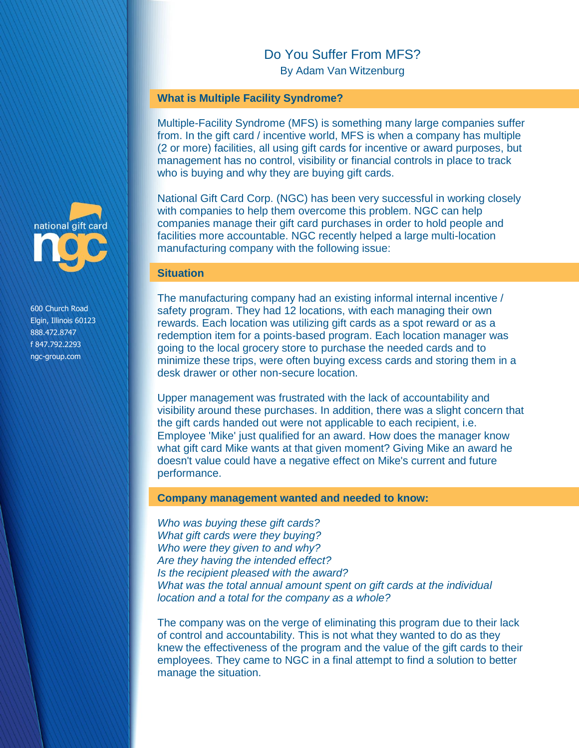# Do You Suffer From MFS?

By Adam Van Witzenburg

#### **What is Multiple Facility Syndrome?**

Multiple-Facility Syndrome (MFS) is something many large companies suffer from. In the gift card / incentive world, MFS is when a company has multiple (2 or more) facilities, all using gift cards for incentive or award purposes, but management has no control, visibility or financial controls in place to track who is buying and why they are buying gift cards.

National Gift Card Corp. (NGC) has been very successful in working closely with companies to help them overcome this problem. NGC can help companies manage their gift card purchases in order to hold people and facilities more accountable. NGC recently helped a large multi-location manufacturing company with the following issue:

#### **Situation**

The manufacturing company had an existing informal internal incentive / safety program. They had 12 locations, with each managing their own rewards. Each location was utilizing gift cards as a spot reward or as a redemption item for a points-based program. Each location manager was going to the local grocery store to purchase the needed cards and to minimize these trips, were often buying excess cards and storing them in a desk drawer or other non-secure location.

Upper management was frustrated with the lack of accountability and visibility around these purchases. In addition, there was a slight concern that the gift cards handed out were not applicable to each recipient, i.e. Employee 'Mike' just qualified for an award. How does the manager know what gift card Mike wants at that given moment? Giving Mike an award he doesn't value could have a negative effect on Mike's current and future performance.

#### **Company management wanted and needed to know:**

*Who was buying these gift cards? What gift cards were they buying? Who were they given to and why? Are they having the intended effect? Is the recipient pleased with the award? What was the total annual amount spent on gift cards at the individual location and a total for the company as a whole?* 

The company was on the verge of eliminating this program due to their lack of control and accountability. This is not what they wanted to do as they knew the effectiveness of the program and the value of the gift cards to their employees. They came to NGC in a final attempt to find a solution to better manage the situation.



600 Church Road Elgin, Illinois 60123 888.472.8747 f 847.792.2293 ngc-group.com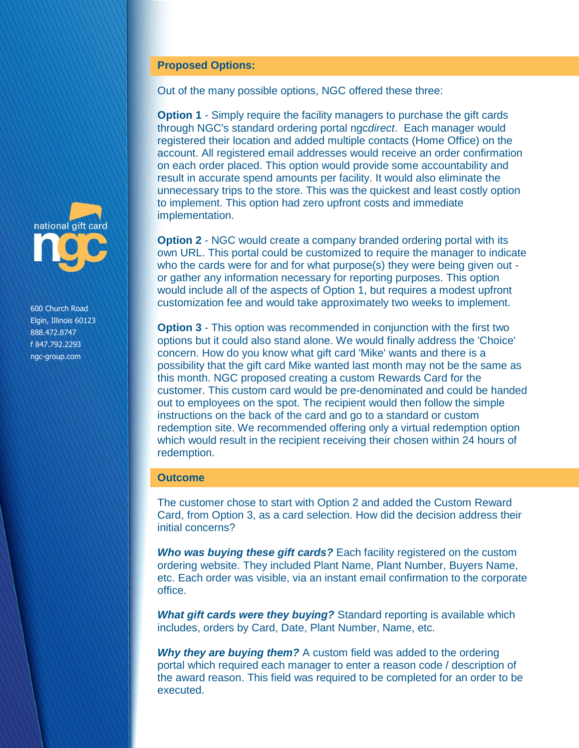## **Proposed Options:**

Out of the many possible options, NGC offered these three:

**Option 1** - Simply require the facility managers to purchase the gift cards through NGC's standard ordering portal ngc*direct*. Each manager would registered their location and added multiple contacts (Home Office) on the account. All registered email addresses would receive an order confirmation on each order placed. This option would provide some accountability and result in accurate spend amounts per facility. It would also eliminate the unnecessary trips to the store. This was the quickest and least costly option to implement. This option had zero upfront costs and immediate implementation.

**Option 2** - NGC would create a company branded ordering portal with its own URL. This portal could be customized to require the manager to indicate who the cards were for and for what purpose(s) they were being given out or gather any information necessary for reporting purposes. This option would include all of the aspects of Option 1, but requires a modest upfront customization fee and would take approximately two weeks to implement.

**Option 3** - This option was recommended in conjunction with the first two options but it could also stand alone. We would finally address the 'Choice' concern. How do you know what gift card 'Mike' wants and there is a possibility that the gift card Mike wanted last month may not be the same as this month. NGC proposed creating a custom Rewards Card for the customer. This custom card would be pre-denominated and could be handed out to employees on the spot. The recipient would then follow the simple instructions on the back of the card and go to a standard or custom redemption site. We recommended offering only a virtual redemption option which would result in the recipient receiving their chosen within 24 hours of redemption.

## **Outcome**

The customer chose to start with Option 2 and added the Custom Reward Card, from Option 3, as a card selection. How did the decision address their initial concerns?

*Who was buying these gift cards?* Each facility registered on the custom ordering website. They included Plant Name, Plant Number, Buyers Name, etc. Each order was visible, via an instant email confirmation to the corporate office.

*What gift cards were they buying?* Standard reporting is available which includes, orders by Card, Date, Plant Number, Name, etc.

*Why they are buying them?* A custom field was added to the ordering portal which required each manager to enter a reason code / description of the award reason. This field was required to be completed for an order to be executed.



600 Church Road Elgin, Illinois 60123 888.472.8747 f 847.792.2293 ngc-group.com